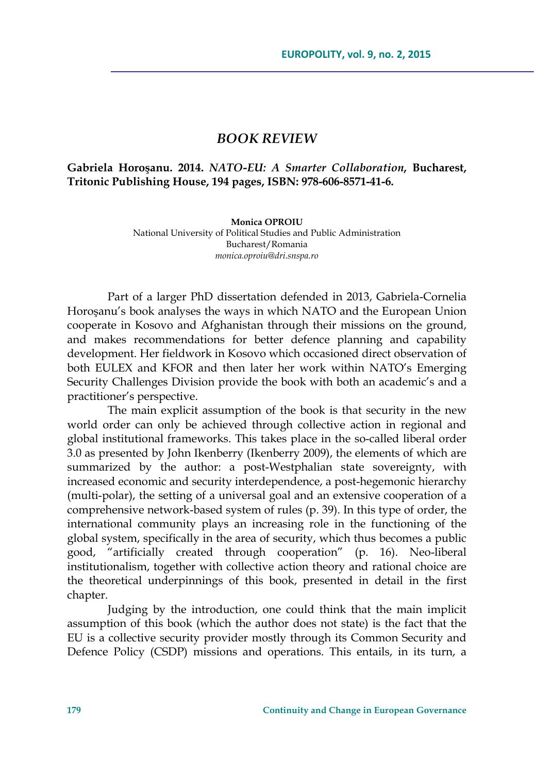## *BOOK REVIEW*

## **Gabriela Horoşanu. 2014.** *NATO-EU: A Smarter Collaboration***, Bucharest, Tritonic Publishing House, 194 pages, ISBN: 978-606-8571-41-6.**

**Monica OPROIU**  National University of Political Studies and Public Administration Bucharest/Romania *monica.oproiu@dri.snspa.ro* 

Part of a larger PhD dissertation defended in 2013, Gabriela-Cornelia Horoşanu's book analyses the ways in which NATO and the European Union cooperate in Kosovo and Afghanistan through their missions on the ground, and makes recommendations for better defence planning and capability development. Her fieldwork in Kosovo which occasioned direct observation of both EULEX and KFOR and then later her work within NATO's Emerging Security Challenges Division provide the book with both an academic's and a practitioner's perspective.

The main explicit assumption of the book is that security in the new world order can only be achieved through collective action in regional and global institutional frameworks. This takes place in the so-called liberal order 3.0 as presented by John Ikenberry (Ikenberry 2009), the elements of which are summarized by the author: a post-Westphalian state sovereignty, with increased economic and security interdependence, a post-hegemonic hierarchy (multi-polar), the setting of a universal goal and an extensive cooperation of a comprehensive network-based system of rules (p. 39). In this type of order, the international community plays an increasing role in the functioning of the global system, specifically in the area of security, which thus becomes a public good, "artificially created through cooperation" (p. 16). Neo-liberal institutionalism, together with collective action theory and rational choice are the theoretical underpinnings of this book, presented in detail in the first chapter.

Judging by the introduction, one could think that the main implicit assumption of this book (which the author does not state) is the fact that the EU is a collective security provider mostly through its Common Security and Defence Policy (CSDP) missions and operations. This entails, in its turn, a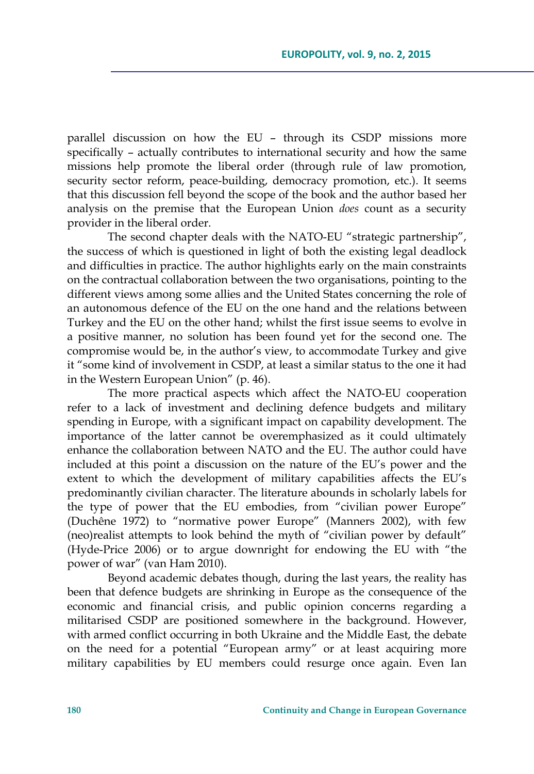parallel discussion on how the EU – through its CSDP missions more specifically – actually contributes to international security and how the same missions help promote the liberal order (through rule of law promotion, security sector reform, peace-building, democracy promotion, etc.). It seems that this discussion fell beyond the scope of the book and the author based her analysis on the premise that the European Union *does* count as a security provider in the liberal order.

The second chapter deals with the NATO-EU "strategic partnership", the success of which is questioned in light of both the existing legal deadlock and difficulties in practice. The author highlights early on the main constraints on the contractual collaboration between the two organisations, pointing to the different views among some allies and the United States concerning the role of an autonomous defence of the EU on the one hand and the relations between Turkey and the EU on the other hand; whilst the first issue seems to evolve in a positive manner, no solution has been found yet for the second one. The compromise would be, in the author's view, to accommodate Turkey and give it "some kind of involvement in CSDP, at least a similar status to the one it had in the Western European Union" (p. 46).

The more practical aspects which affect the NATO-EU cooperation refer to a lack of investment and declining defence budgets and military spending in Europe, with a significant impact on capability development. The importance of the latter cannot be overemphasized as it could ultimately enhance the collaboration between NATO and the EU. The author could have included at this point a discussion on the nature of the EU's power and the extent to which the development of military capabilities affects the EU's predominantly civilian character. The literature abounds in scholarly labels for the type of power that the EU embodies, from "civilian power Europe" (Duchêne 1972) to "normative power Europe" (Manners 2002), with few (neo)realist attempts to look behind the myth of "civilian power by default" (Hyde-Price 2006) or to argue downright for endowing the EU with "the power of war" (van Ham 2010).

Beyond academic debates though, during the last years, the reality has been that defence budgets are shrinking in Europe as the consequence of the economic and financial crisis, and public opinion concerns regarding a militarised CSDP are positioned somewhere in the background. However, with armed conflict occurring in both Ukraine and the Middle East, the debate on the need for a potential "European army" or at least acquiring more military capabilities by EU members could resurge once again. Even Ian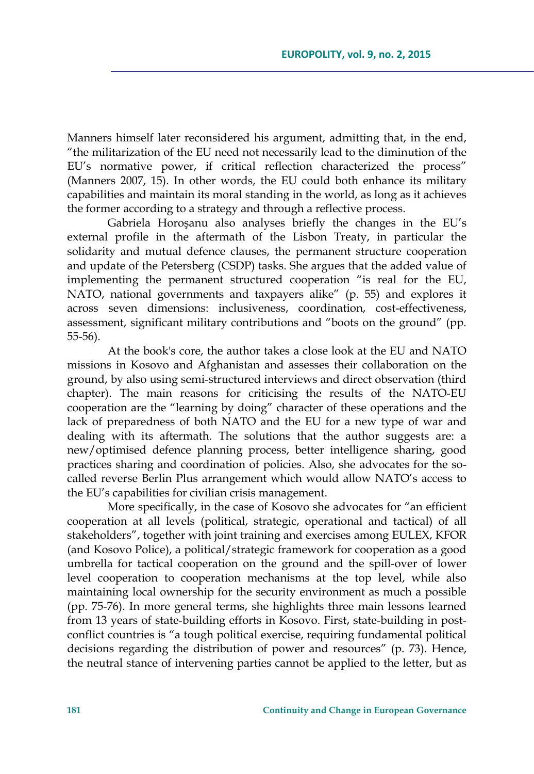Manners himself later reconsidered his argument, admitting that, in the end, "the militarization of the EU need not necessarily lead to the diminution of the EU's normative power, if critical reflection characterized the process" (Manners 2007, 15). In other words, the EU could both enhance its military capabilities and maintain its moral standing in the world, as long as it achieves the former according to a strategy and through a reflective process.

Gabriela Horoşanu also analyses briefly the changes in the EU's external profile in the aftermath of the Lisbon Treaty, in particular the solidarity and mutual defence clauses, the permanent structure cooperation and update of the Petersberg (CSDP) tasks. She argues that the added value of implementing the permanent structured cooperation "is real for the EU, NATO, national governments and taxpayers alike" (p. 55) and explores it across seven dimensions: inclusiveness, coordination, cost-effectiveness, assessment, significant military contributions and "boots on the ground" (pp. 55-56).

At the book's core, the author takes a close look at the EU and NATO missions in Kosovo and Afghanistan and assesses their collaboration on the ground, by also using semi-structured interviews and direct observation (third chapter). The main reasons for criticising the results of the NATO-EU cooperation are the "learning by doing" character of these operations and the lack of preparedness of both NATO and the EU for a new type of war and dealing with its aftermath. The solutions that the author suggests are: a new/optimised defence planning process, better intelligence sharing, good practices sharing and coordination of policies. Also, she advocates for the socalled reverse Berlin Plus arrangement which would allow NATO's access to the EU's capabilities for civilian crisis management.

More specifically, in the case of Kosovo she advocates for "an efficient cooperation at all levels (political, strategic, operational and tactical) of all stakeholders", together with joint training and exercises among EULEX, KFOR (and Kosovo Police), a political/strategic framework for cooperation as a good umbrella for tactical cooperation on the ground and the spill-over of lower level cooperation to cooperation mechanisms at the top level, while also maintaining local ownership for the security environment as much a possible (pp. 75-76). In more general terms, she highlights three main lessons learned from 13 years of state-building efforts in Kosovo. First, state-building in postconflict countries is "a tough political exercise, requiring fundamental political decisions regarding the distribution of power and resources" (p. 73). Hence, the neutral stance of intervening parties cannot be applied to the letter, but as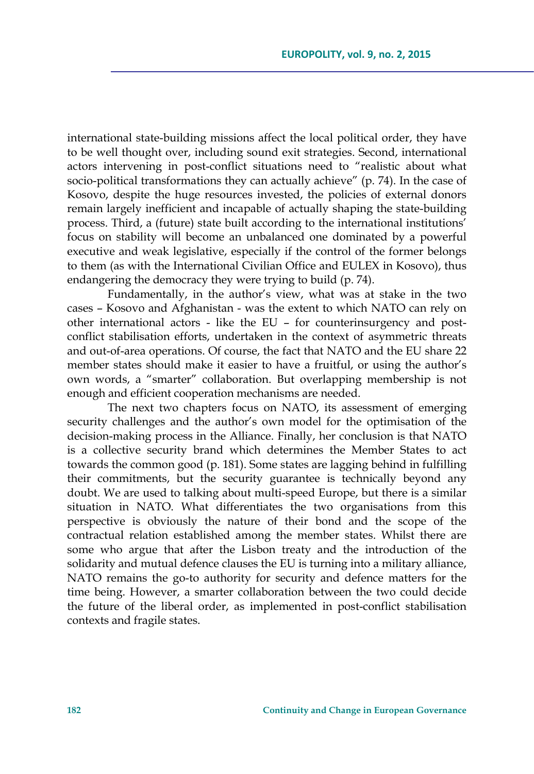international state-building missions affect the local political order, they have to be well thought over, including sound exit strategies. Second, international actors intervening in post-conflict situations need to "realistic about what socio-political transformations they can actually achieve" (p. 74). In the case of Kosovo, despite the huge resources invested, the policies of external donors remain largely inefficient and incapable of actually shaping the state-building process. Third, a (future) state built according to the international institutions' focus on stability will become an unbalanced one dominated by a powerful executive and weak legislative, especially if the control of the former belongs to them (as with the International Civilian Office and EULEX in Kosovo), thus endangering the democracy they were trying to build (p. 74).

Fundamentally, in the author's view, what was at stake in the two cases – Kosovo and Afghanistan - was the extent to which NATO can rely on other international actors - like the EU – for counterinsurgency and postconflict stabilisation efforts, undertaken in the context of asymmetric threats and out-of-area operations. Of course, the fact that NATO and the EU share 22 member states should make it easier to have a fruitful, or using the author's own words, a "smarter" collaboration. But overlapping membership is not enough and efficient cooperation mechanisms are needed.

The next two chapters focus on NATO, its assessment of emerging security challenges and the author's own model for the optimisation of the decision-making process in the Alliance. Finally, her conclusion is that NATO is a collective security brand which determines the Member States to act towards the common good (p. 181). Some states are lagging behind in fulfilling their commitments, but the security guarantee is technically beyond any doubt. We are used to talking about multi-speed Europe, but there is a similar situation in NATO. What differentiates the two organisations from this perspective is obviously the nature of their bond and the scope of the contractual relation established among the member states. Whilst there are some who argue that after the Lisbon treaty and the introduction of the solidarity and mutual defence clauses the EU is turning into a military alliance, NATO remains the go-to authority for security and defence matters for the time being. However, a smarter collaboration between the two could decide the future of the liberal order, as implemented in post-conflict stabilisation contexts and fragile states.